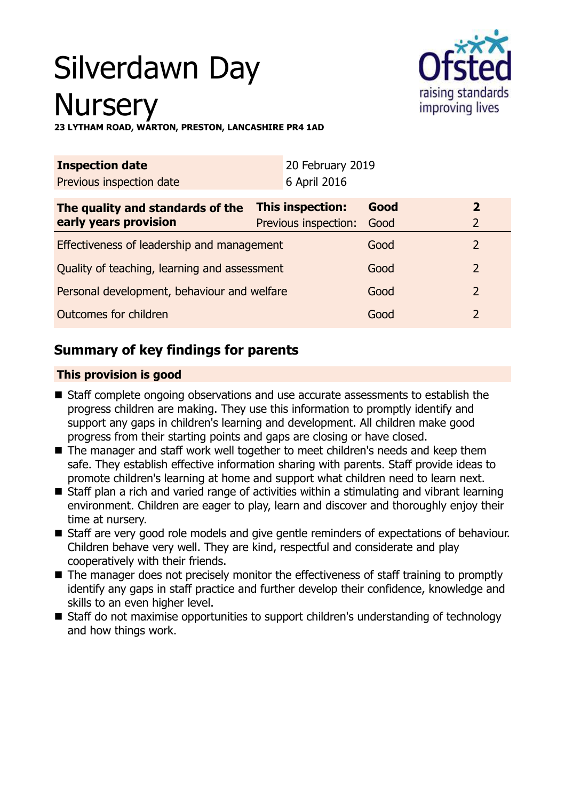# Silverdawn Day **Nursery**



**23 LYTHAM ROAD, WARTON, PRESTON, LANCASHIRE PR4 1AD**

| <b>Inspection date</b>                       |                      | 20 February 2019 |                |
|----------------------------------------------|----------------------|------------------|----------------|
| Previous inspection date                     | 6 April 2016         |                  |                |
| The quality and standards of the             | This inspection:     | Good             | 2              |
| early years provision                        | Previous inspection: | Good             | $\overline{2}$ |
| Effectiveness of leadership and management   |                      | Good             | 2              |
| Quality of teaching, learning and assessment |                      | Good             | 2              |
| Personal development, behaviour and welfare  |                      | Good             | 2              |
| Outcomes for children                        |                      | Good             |                |

# **Summary of key findings for parents**

## **This provision is good**

- Staff complete ongoing observations and use accurate assessments to establish the progress children are making. They use this information to promptly identify and support any gaps in children's learning and development. All children make good progress from their starting points and gaps are closing or have closed.
- The manager and staff work well together to meet children's needs and keep them safe. They establish effective information sharing with parents. Staff provide ideas to promote children's learning at home and support what children need to learn next.
- $\blacksquare$  Staff plan a rich and varied range of activities within a stimulating and vibrant learning environment. Children are eager to play, learn and discover and thoroughly enjoy their time at nursery.
- Staff are very good role models and give gentle reminders of expectations of behaviour. Children behave very well. They are kind, respectful and considerate and play cooperatively with their friends.
- $\blacksquare$  The manager does not precisely monitor the effectiveness of staff training to promptly identify any gaps in staff practice and further develop their confidence, knowledge and skills to an even higher level.
- Staff do not maximise opportunities to support children's understanding of technology and how things work.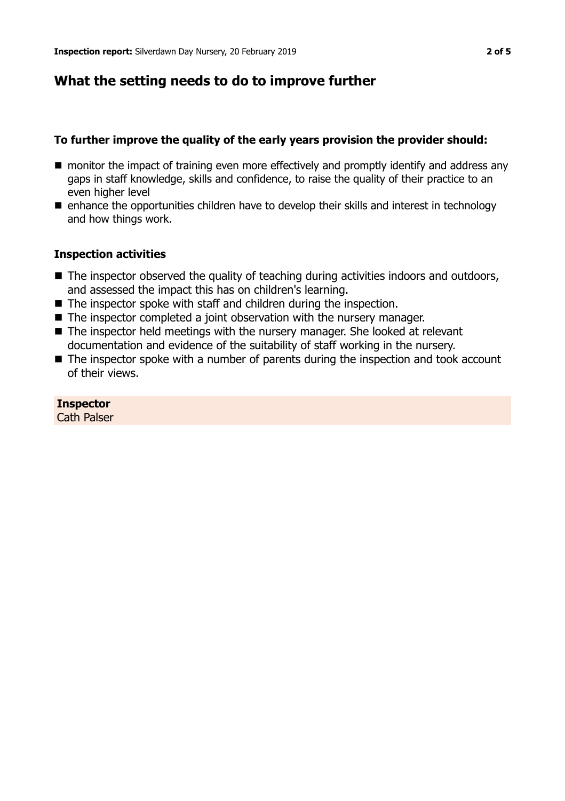# **What the setting needs to do to improve further**

### **To further improve the quality of the early years provision the provider should:**

- monitor the impact of training even more effectively and promptly identify and address any gaps in staff knowledge, skills and confidence, to raise the quality of their practice to an even higher level
- $\blacksquare$  enhance the opportunities children have to develop their skills and interest in technology and how things work.

#### **Inspection activities**

- $\blacksquare$  The inspector observed the quality of teaching during activities indoors and outdoors, and assessed the impact this has on children's learning.
- $\blacksquare$  The inspector spoke with staff and children during the inspection.
- $\blacksquare$  The inspector completed a joint observation with the nursery manager.
- $\blacksquare$  The inspector held meetings with the nursery manager. She looked at relevant documentation and evidence of the suitability of staff working in the nursery.
- $\blacksquare$  The inspector spoke with a number of parents during the inspection and took account of their views.

#### **Inspector**

Cath Palser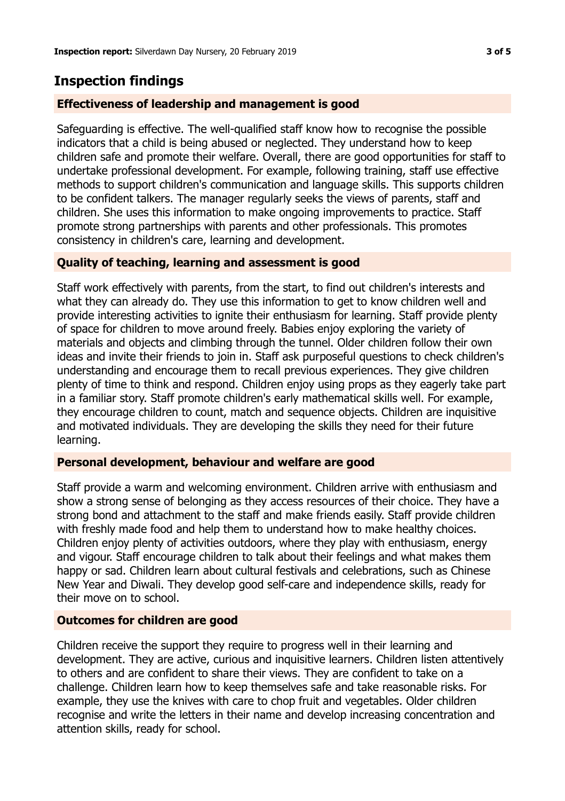# **Inspection findings**

## **Effectiveness of leadership and management is good**

Safeguarding is effective. The well-qualified staff know how to recognise the possible indicators that a child is being abused or neglected. They understand how to keep children safe and promote their welfare. Overall, there are good opportunities for staff to undertake professional development. For example, following training, staff use effective methods to support children's communication and language skills. This supports children to be confident talkers. The manager regularly seeks the views of parents, staff and children. She uses this information to make ongoing improvements to practice. Staff promote strong partnerships with parents and other professionals. This promotes consistency in children's care, learning and development.

## **Quality of teaching, learning and assessment is good**

Staff work effectively with parents, from the start, to find out children's interests and what they can already do. They use this information to get to know children well and provide interesting activities to ignite their enthusiasm for learning. Staff provide plenty of space for children to move around freely. Babies enjoy exploring the variety of materials and objects and climbing through the tunnel. Older children follow their own ideas and invite their friends to join in. Staff ask purposeful questions to check children's understanding and encourage them to recall previous experiences. They give children plenty of time to think and respond. Children enjoy using props as they eagerly take part in a familiar story. Staff promote children's early mathematical skills well. For example, they encourage children to count, match and sequence objects. Children are inquisitive and motivated individuals. They are developing the skills they need for their future learning.

### **Personal development, behaviour and welfare are good**

Staff provide a warm and welcoming environment. Children arrive with enthusiasm and show a strong sense of belonging as they access resources of their choice. They have a strong bond and attachment to the staff and make friends easily. Staff provide children with freshly made food and help them to understand how to make healthy choices. Children enjoy plenty of activities outdoors, where they play with enthusiasm, energy and vigour. Staff encourage children to talk about their feelings and what makes them happy or sad. Children learn about cultural festivals and celebrations, such as Chinese New Year and Diwali. They develop good self-care and independence skills, ready for their move on to school.

### **Outcomes for children are good**

Children receive the support they require to progress well in their learning and development. They are active, curious and inquisitive learners. Children listen attentively to others and are confident to share their views. They are confident to take on a challenge. Children learn how to keep themselves safe and take reasonable risks. For example, they use the knives with care to chop fruit and vegetables. Older children recognise and write the letters in their name and develop increasing concentration and attention skills, ready for school.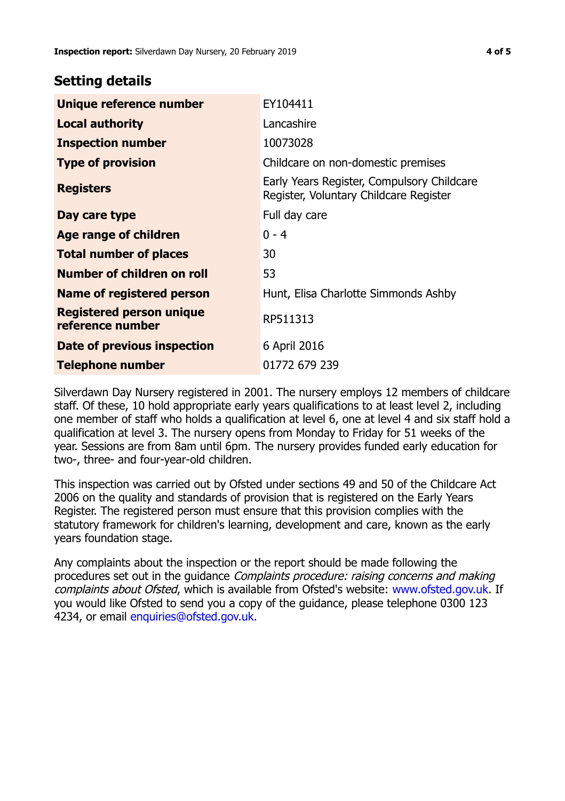# **Setting details**

| Unique reference number                             | EY104411                                                                             |
|-----------------------------------------------------|--------------------------------------------------------------------------------------|
| <b>Local authority</b>                              | Lancashire                                                                           |
| <b>Inspection number</b>                            | 10073028                                                                             |
| <b>Type of provision</b>                            | Childcare on non-domestic premises                                                   |
| <b>Registers</b>                                    | Early Years Register, Compulsory Childcare<br>Register, Voluntary Childcare Register |
| Day care type                                       | Full day care                                                                        |
| Age range of children                               | $0 - 4$                                                                              |
| <b>Total number of places</b>                       | 30                                                                                   |
| Number of children on roll                          | 53                                                                                   |
| Name of registered person                           | Hunt, Elisa Charlotte Simmonds Ashby                                                 |
| <b>Registered person unique</b><br>reference number | RP511313                                                                             |
| Date of previous inspection                         | 6 April 2016                                                                         |
| <b>Telephone number</b>                             | 01772 679 239                                                                        |

Silverdawn Day Nursery registered in 2001. The nursery employs 12 members of childcare staff. Of these, 10 hold appropriate early years qualifications to at least level 2, including one member of staff who holds a qualification at level 6, one at level 4 and six staff hold a qualification at level 3. The nursery opens from Monday to Friday for 51 weeks of the year. Sessions are from 8am until 6pm. The nursery provides funded early education for two-, three- and four-year-old children.

This inspection was carried out by Ofsted under sections 49 and 50 of the Childcare Act 2006 on the quality and standards of provision that is registered on the Early Years Register. The registered person must ensure that this provision complies with the statutory framework for children's learning, development and care, known as the early years foundation stage.

Any complaints about the inspection or the report should be made following the procedures set out in the guidance Complaints procedure: raising concerns and making complaints about Ofsted, which is available from Ofsted's website: www.ofsted.gov.uk. If you would like Ofsted to send you a copy of the guidance, please telephone 0300 123 4234, or email [enquiries@ofsted.gov.uk.](mailto:enquiries@ofsted.gov.uk)